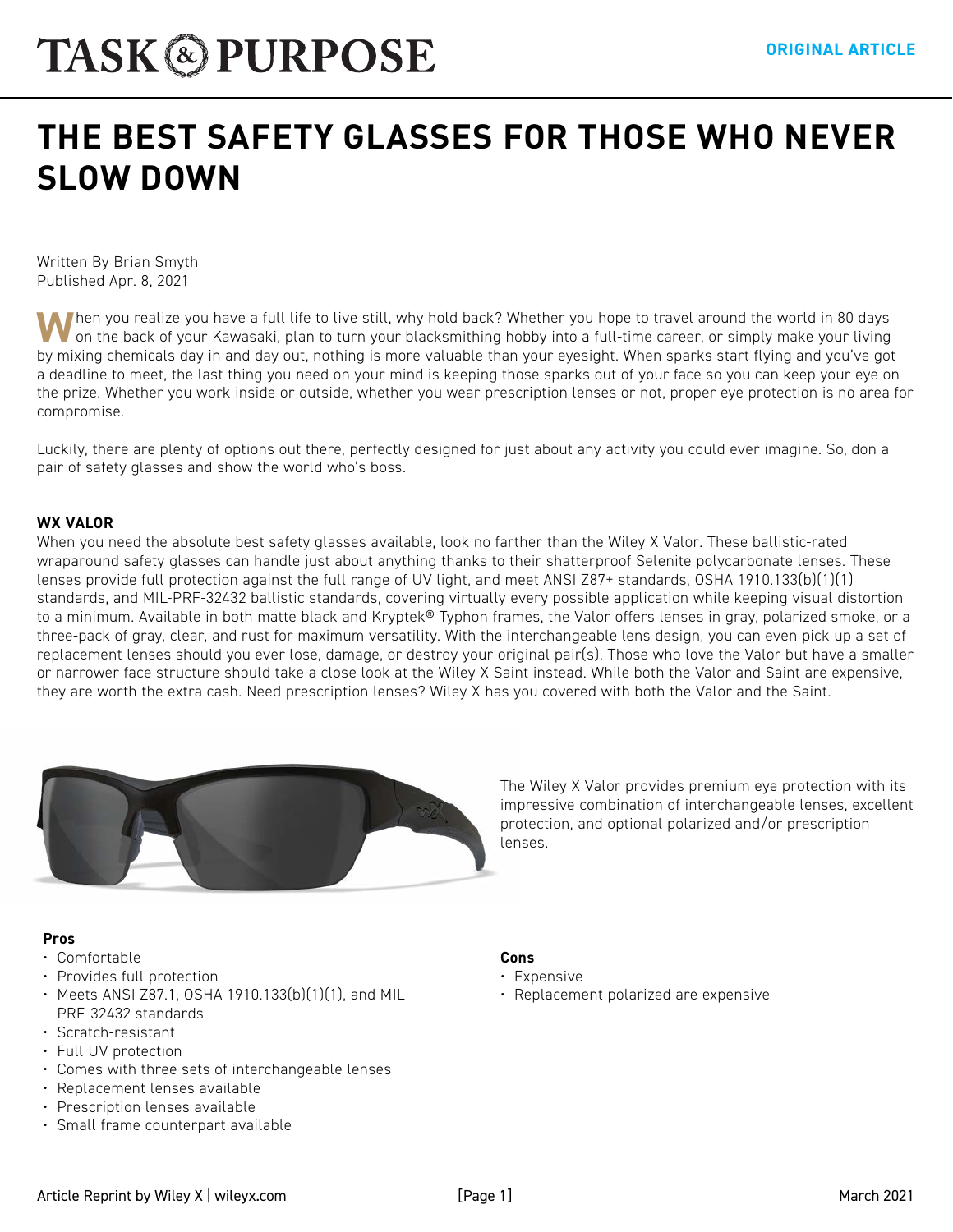# **[THE BEST SAFETY GLASSES FOR THOSE WHO NEVER](https://taskandpurpose.com/reviews/best-safety-glasses/)  SLOW DOWN**

Written By Brian Smyth Published Apr. 8, 2021

When you realize you have a full life to live still, why hold back? Whether you hope to travel around the world in 80 days on the back of your Kawasaki, plan to turn your blacksmithing hobby into a full-time career, or simply make your living by mixing chemicals day in and day out, nothing is more valuable than your eyesight. When sparks start flying and you've got a deadline to meet, the last thing you need on your mind is keeping those sparks out of your face so you can keep your eye on the prize. Whether you work inside or outside, whether you wear prescription lenses or not, proper eye protection is no area for compromise.

Luckily, there are plenty of options out there, perfectly designed for just about any activity you could ever imagine. So, don a pair of safety glasses and show the world who's boss.

#### **WX VALOR**

When you need the absolute best safety glasses available, look no farther than the Wiley X Valor. These ballistic-rated wraparound safety glasses can handle just about anything thanks to their shatterproof Selenite polycarbonate lenses. These lenses provide full protection against the full range of UV light, and meet ANSI Z87+ standards, OSHA 1910.133(b)(1)(1) standards, and MIL-PRF-32432 ballistic standards, covering virtually every possible application while keeping visual distortion to a minimum. Available in both matte black and Kryptek® Typhon frames, the Valor offers lenses in gray, polarized smoke, or a three-pack of gray, clear, and rust for maximum versatility. With the interchangeable lens design, you can even pick up a set of replacement lenses should you ever lose, damage, or destroy your original pair(s). Those who love the Valor but have a smaller or narrower face structure should take a close look at the Wiley X Saint instead. While both the Valor and Saint are expensive, they are worth the extra cash. Need prescription lenses? Wiley X has you covered with both the Valor and the Saint.



The Wiley X Valor provides premium eye protection with its impressive combination of interchangeable lenses, excellent protection, and optional polarized and/or prescription lenses.

#### **Pros**

- Comfortable
- Provides full protection
- Meets ANSI Z87.1, OSHA 1910.133(b)(1)(1), and MIL-PRF-32432 standards
- Scratch-resistant
- Full UV protection
- Comes with three sets of interchangeable lenses
- Replacement lenses available
- Prescription lenses available
- Small frame counterpart available

#### **Cons**

- Expensive
- Replacement polarized are expensive